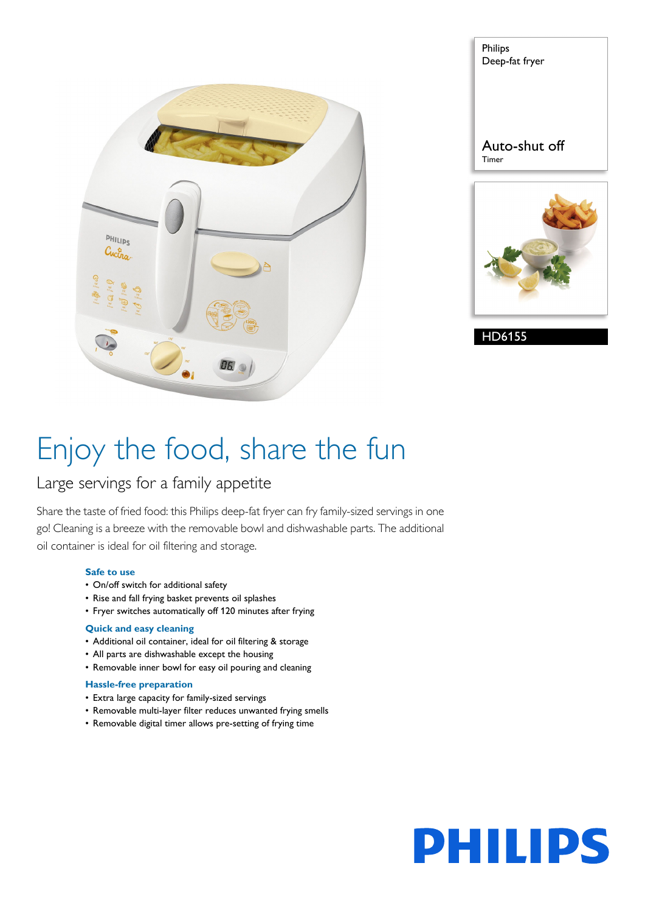

| Philips<br>Deep-fat fryer |
|---------------------------|
| Auto-shut off<br>Timer    |
|                           |

HD6155

# Enjoy the food, share the fun

### Large servings for a family appetite

Share the taste of fried food: this Philips deep-fat fryer can fry family-sized servings in one go! Cleaning is a breeze with the removable bowl and dishwashable parts. The additional oil container is ideal for oil filtering and storage.

#### **Safe to use**

- On/off switch for additional safety
- Rise and fall frying basket prevents oil splashes
- Fryer switches automatically off 120 minutes after frying

### **Quick and easy cleaning**

- Additional oil container, ideal for oil filtering & storage
- All parts are dishwashable except the housing
- Removable inner bowl for easy oil pouring and cleaning

#### **Hassle-free preparation**

- Extra large capacity for family-sized servings
- Removable multi-layer filter reduces unwanted frying smells
- Removable digital timer allows pre-setting of frying time

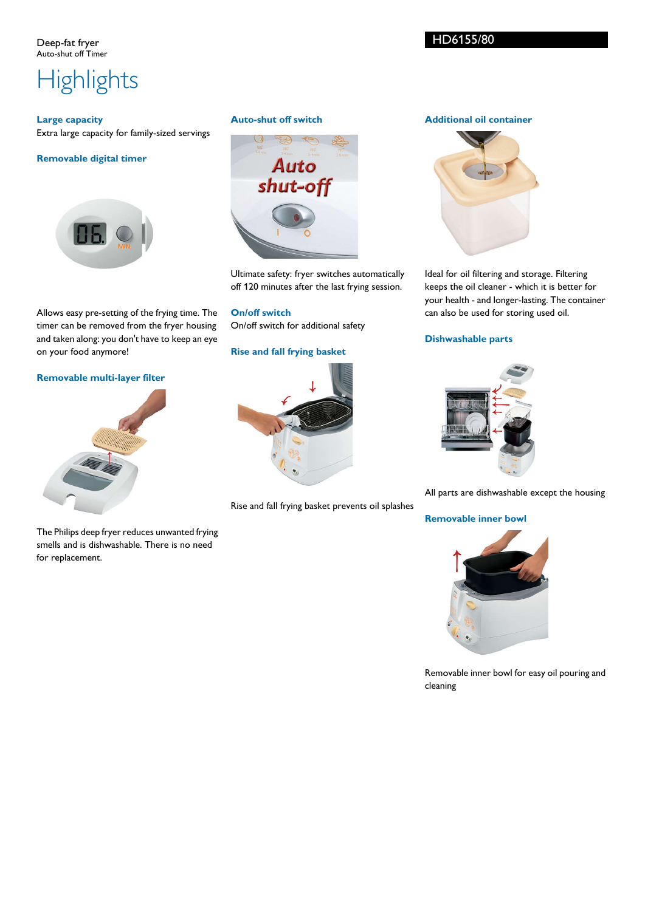Deep-fat fryer Auto-shut off Timer

## **Highlights**

#### **Large capacity** Extra large capacity for family-sized servings

### **Removable digital timer**



Allows easy pre-setting of the frying time. The timer can be removed from the fryer housing and taken along: you don't have to keep an eye on your food anymore!

#### **Removable multi-layer filter**



The Philips deep fryer reduces unwanted frying smells and is dishwashable. There is no need for replacement.

#### **Auto-shut off switch**



Ultimate safety: fryer switches automatically off 120 minutes after the last frying session.

**On/off switch** On/off switch for additional safety

#### **Rise and fall frying basket**



Rise and fall frying basket prevents oil splashes

#### **Additional oil container**



Ideal for oil filtering and storage. Filtering keeps the oil cleaner - which it is better for your health - and longer-lasting. The container can also be used for storing used oil.

#### **Dishwashable parts**



All parts are dishwashable except the housing

**Removable inner bowl**



Removable inner bowl for easy oil pouring and cleaning